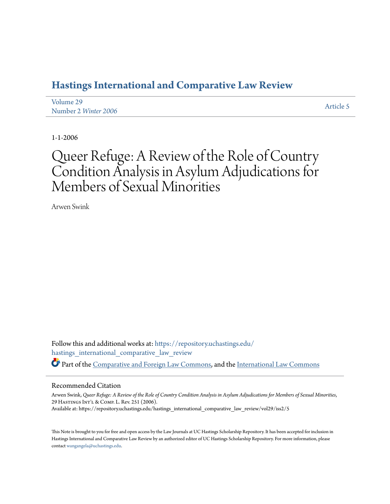## **[Hastings International and Comparative Law Review](https://repository.uchastings.edu/hastings_international_comparative_law_review?utm_source=repository.uchastings.edu%2Fhastings_international_comparative_law_review%2Fvol29%2Fiss2%2F5&utm_medium=PDF&utm_campaign=PDFCoverPages)**

| Volume 29            | Article 5 |
|----------------------|-----------|
| Number 2 Winter 2006 |           |

1-1-2006

# Queer Refuge: A Review of the Role of Country Condition Analysis in Asylum Adjudications for Members of Sexual Minorities

Arwen Swink

Follow this and additional works at: [https://repository.uchastings.edu/](https://repository.uchastings.edu/hastings_international_comparative_law_review?utm_source=repository.uchastings.edu%2Fhastings_international_comparative_law_review%2Fvol29%2Fiss2%2F5&utm_medium=PDF&utm_campaign=PDFCoverPages) [hastings\\_international\\_comparative\\_law\\_review](https://repository.uchastings.edu/hastings_international_comparative_law_review?utm_source=repository.uchastings.edu%2Fhastings_international_comparative_law_review%2Fvol29%2Fiss2%2F5&utm_medium=PDF&utm_campaign=PDFCoverPages) Part of the [Comparative and Foreign Law Commons](http://network.bepress.com/hgg/discipline/836?utm_source=repository.uchastings.edu%2Fhastings_international_comparative_law_review%2Fvol29%2Fiss2%2F5&utm_medium=PDF&utm_campaign=PDFCoverPages), and the [International Law Commons](http://network.bepress.com/hgg/discipline/609?utm_source=repository.uchastings.edu%2Fhastings_international_comparative_law_review%2Fvol29%2Fiss2%2F5&utm_medium=PDF&utm_campaign=PDFCoverPages)

### Recommended Citation

Arwen Swink, *Queer Refuge: A Review of the Role of Country Condition Analysis in Asylum Adjudications for Members of Sexual Minorities*, 29 HastingsInt'l & Comp. L. Rev. 251 (2006). Available at: https://repository.uchastings.edu/hastings\_international\_comparative\_law\_review/vol29/iss2/5

This Note is brought to you for free and open access by the Law Journals at UC Hastings Scholarship Repository. It has been accepted for inclusion in Hastings International and Comparative Law Review by an authorized editor of UC Hastings Scholarship Repository. For more information, please contact [wangangela@uchastings.edu](mailto:wangangela@uchastings.edu).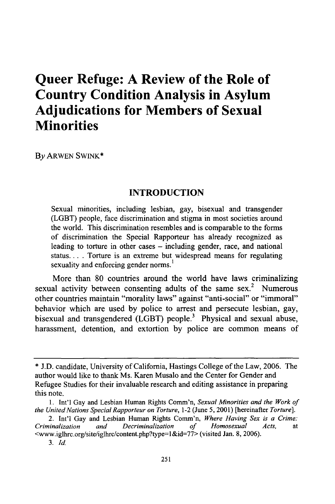## **Queer Refuge: A Review of the Role of Country Condition Analysis in Asylum Adjudications for Members of Sexual Minorities**

By ARWEN SWINK\*

## **INTRODUCTION**

Sexual minorities, including lesbian, gay, bisexual and transgender (LGBT) people, face discrimination and stigma in most societies around the world. This discrimination resembles and is comparable to the forms of discrimination the Special Rapporteur has already recognized as leading to torture in other cases – including gender, race, and national status... . Torture is an extreme but widespread means for regulating sexuality and enforcing gender norms.<sup>1</sup>

More than 80 countries around the world have laws criminalizing sexual activity between consenting adults of the same sex. $2$  Numerous other countries maintain "morality laws" against "anti-social" or "immoral" behavior which are used by police to arrest and persecute lesbian, gay, bisexual and transgendered (LGBT) people.<sup>3</sup> Physical and sexual abuse, harassment, detention, and extortion by police are common means of

<sup>\*</sup> J.D. candidate, University of California, Hastings College of the Law, 2006. The author would like to thank Ms. Karen Musalo and the Center for Gender and Refugee Studies for their invaluable research and editing assistance in preparing this note.

<sup>1.</sup> Int'l Gay and Lesbian Human Rights Comm'n, *Sexual Minorities and the Work of the United Nations Special Rapporteur on Torture,* 1-2 (June 5, 2001) [hereinafter *Torture].*

<sup>2.</sup> Int'l Gay and Lesbian Human Rights Comm'n, *Where Having Sex is a Crime: Criminalization and Decriminalization of Homosexual Acts,* at <www.iglhrc.org/site/iglhrc/content.php?type=l&id=77> (visited Jan. 8, 2006).

*<sup>3.</sup> Id.*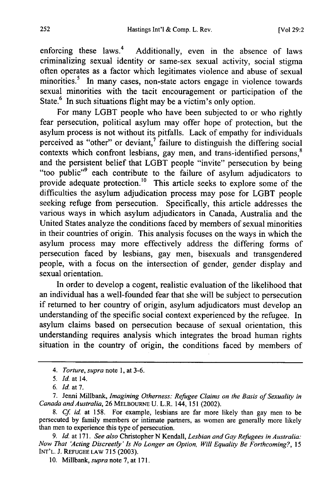enforcing these laws.<sup>4</sup> Additionally, even in the absence of laws criminalizing sexual identity or same-sex sexual activity, social stigma often operates as a factor which legitimates violence and abuse of sexual minorities.<sup>5</sup> In many cases, non-state actors engage in violence towards sexual minorities with the tacit encouragement or participation of the State.<sup>6</sup> In such situations flight may be a victim's only option.

For many LGBT people who have been subjected to or who rightly fear persecution, political asylum may offer hope of protection, but the asylum process is not without its pitfalls. Lack of empathy for individuals perceived as "other" or deviant, $\frac{7}{1}$  failure to distinguish the differing social contexts which confront lesbians, gay men, and trans-identified persons.<sup>8</sup> and the persistent belief that LGBT people "invite" persecution by being "too public"<sup>9</sup> each contribute to the failure of asylum adjudicators to provide adequate protection.<sup>10</sup> This article seeks to explore some of the difficulties the asylum adjudication process may pose for LGBT people seeking refuge from persecution. Specifically, this article addresses the various ways in which asylum adjudicators in Canada, Australia and the United States analyze the conditions faced by members of sexual minorities in their countries of origin. This analysis focuses on the ways in which the asylum process may more effectively address the differing forms of persecution faced by lesbians, gay men, bisexuals and transgendered people, with a focus on the intersection of gender, gender display and sexual orientation.

In order to develop a cogent, realistic evaluation of the likelihood that an individual has a well-founded fear that she will be subject to persecution if returned to her country of origin, asylum adjudicators must develop an understanding of the specific social context experienced by the refugee. In asylum claims based on persecution because of sexual orientation, this understanding requires analysis which integrates the broad human rights situation in the country of origin, the conditions faced by members of

*<sup>4.</sup> Torture, supra* note 1, at 3-6.

<sup>5.</sup> *Id.* at 14.

*<sup>6.</sup>* Id. at 7.

<sup>7.</sup> Jenni Millbank, *Imagining Otherness: Refugee Claims on the Basis of Sexuality in Canada and Australia,* 26 **MELBOURNE** U. L.R. 144, 151 (2002).

*<sup>8.</sup> Cf id* at 158. For example, lesbians are far more likely than gay men to be persecuted by family members or intimate partners, as women are generally more likely than men to experience this type of persecution.

*<sup>9.</sup>* Id. at 171. *See also* Christopher N Kendall, *Lesbian and Gay Refugees in Australia: Now That 'Acting Discreetly' Is No Longer an Option, Will Equality Be Forthcoming?, 15* INT'L. J. **REFUGEE** LAW 715 (2003).

<sup>10.</sup> Millbank, *supra* note 7, at 171.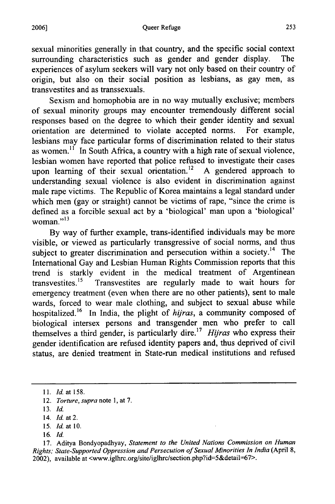sexual minorities generally in that country, and the specific social context surrounding characteristics such as gender and gender display. The experiences of asylum seekers will vary not only based on their country of origin, but also on their social position as lesbians, as gay men, as transvestites and as transsexuals.

Sexism and homophobia are in no way mutually exclusive; members of sexual minority groups may encounter tremendously different social responses based on the degree to which their gender identity and sexual orientation are determined to violate accepted norms. For example, lesbians may face particular forms of discrimination related to their status as women.<sup>11</sup> In South Africa, a country with a high rate of sexual violence, lesbian women have reported that police refused to investigate their cases upon learning of their sexual orientation.<sup>12</sup> A gendered approach to understanding sexual violence is also evident in discrimination against male rape victims. The Republic of Korea maintains a legal standard under which men (gay or straight) cannot be victims of rape, "since the crime is defined as a forcible sexual act by a 'biological' man upon a 'biological' woman." $^{13}$ 

By way of further example, trans-identified individuals may be more visible, or viewed as particularly transgressive of social norms, and thus subject to greater discrimination and persecution within a society.<sup>14</sup> The International Gay and Lesbian Human Rights Commission reports that this trend is starkly evident in the medical treatment of Argentinean transvestites.<sup>15</sup> Transvestites are regularly made to wait hours for emergency treatment (even when there are no other patients), sent to male wards, forced to wear male clothing, and subject to sexual abuse while hospitalized. 16 In India, the plight of *hijras,* a community composed of biological intersex persons and transgender men who prefer to call themselves a third gender, is particularly dire.17 *Hiras* who express their gender identification are refused identity papers and, thus deprived of civil status, are denied treatment in State-run medical institutions and refused

- 15. *Id.* at 10.
- 16. **Id.**

17. Aditya Bondyopadhyay, *Statement to the United Nations Commission on Human Rights; State-Supported Oppression and Persecution of Sexual Minorities In India* (April 8, 2002), available at <www.iglhrc.org/site/iglhrc/section.php?id=5&detail=67>.

**<sup>11.</sup>** Id. at 158.

<sup>12.</sup> *Torture, supra* note **1,** at 7.

<sup>13.</sup> *Id.*

<sup>14.</sup> *Id.* at 2.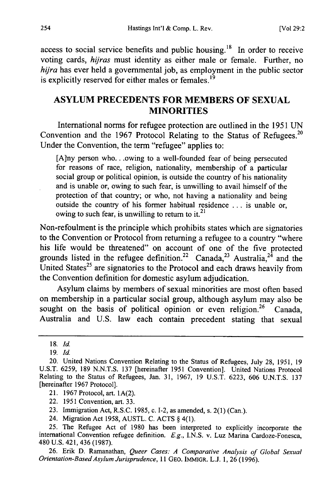access to social service benefits and public housing.<sup>18</sup> In order to receive voting cards, *hijras* must identity as either male or female. Further, no *hijra* has ever held a governmental job, as employment in the public sector is explicitly reserved for either males or females.<sup>19</sup>

## **ASYLUM PRECEDENTS** FOR MEMBERS OF **SEXUAL MINORITIES**

International norms for refugee protection are outlined in the **1951 UN** Convention and the 1967 Protocol Relating to the Status of Refugees.<sup>20</sup> Under the Convention, the term "refugee" applies to:

**[A]ny** person who.. .owing to a well-founded fear of being persecuted for reasons of race, religion, nationality, membership of a particular social group or political opinion, is outside the country of his nationality and is unable or, owing to such fear, is unwilling to avail himself of the protection of that country; or who, not having a nationality and being outside the country of his former habitual residence ... is unable or, owing to such fear, is unwilling to return to it.<sup>21</sup>

Non-refoulment is the principle which prohibits states which are signatories to the Convention or Protocol from returning a refugee to a country "where his life would be threatened" on account of one of the five protected grounds listed in the refugee definition.<sup>22</sup> Canada,<sup>23</sup> Australia,<sup>24</sup> and the United States<sup>25</sup> are signatories to the Protocol and each draws heavily from the Convention definition for domestic asylum adjudication.

Asylum claims **by** members of sexual minorities are most often based on membership in a particular social group, although asylum may also be sought on the basis of political opinion or even religion.<sup>26</sup> Canada, Australia and **U.S.** law each contain precedent stating that sexual

21. 1967 Protocol, art. 1A(2).

22. 1951 Convention, art. 33.

23. Immigration Act, R.S.C. 1985, c. 1-2, as amended, s. 2(1) (Can.).

24. Migration Act 1958, AUSTL. C. ACTS § 4(1).

25. The Refugee Act of 1980 has been interpreted to explicitly incorporate the international Convention refugee definition. E.g., I.N.S. v. Luz Marina Cardoze-Fonesca, 480 U.S. 421, 436 (1987).

26. Erik D. Ramanathan, *Queer Cases: A Comparative Analysis of Global Sexual Orientation-Based Asylum Jurisprudence,* 11 GEO. IMMIGR. L.J. 1, 26 (1996).

<sup>18.</sup> Id.

<sup>19.</sup> Id.

<sup>20.</sup> United Nations Convention Relating to the Status of Refugees, July 28, 1951, 19 U.S.T. 6259, 189 N.N.T.S. 137 [hereinafter 1951 Convention]. United Nations Protocol Relating to the Status of Refugees, Jan. 31, 1967, 19 U.S.T. 6223, 606 U.N.T.S. 137 [hereinafter 1967 Protocol].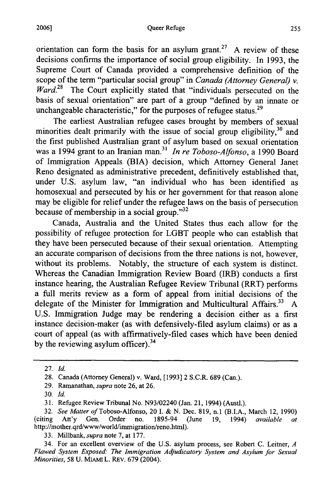#### Queer Refuge

orientation can form the basis for an asylum grant.<sup>27</sup> A review of these decisions confirms the importance of social group eligibility. In 1993, the Supreme Court of Canada provided a comprehensive definition of the scope of the term "particular social group" in *Canada (Attorney General) v. Ward.28* The Court explicitly stated that "individuals persecuted on the basis of sexual orientation" are part of a group "defined by an innate or unchangeable characteristic," for the purposes of refugee status.<sup>29</sup>

The earliest Australian refugee cases brought by members of sexual minorities dealt primarily with the issue of social group eligibility,  $30$  and the first published Australian grant of asylum based on sexual orientation was a 1994 grant to an Iranian man.<sup>31</sup> In re Toboso-Alfonso, a 1990 Board of Immigration Appeals (BIA) decision, which Attorney General Janet Reno designated as administrative precedent, definitively established that, under U.S. asylum law, "an individual who has been identified as homosexual and persecuted by his or her government for that reason alone may be eligible for relief under the refugee laws on the basis of persecution because of membership in a social group." $32$ 

Canada, Australia and the United States thus each allow for the possibility of refugee protection for LGBT people who can establish that they have been persecuted because of their sexual orientation. Attempting an accurate comparison of decisions from the three nations is not, however, without its problems. Notably, the structure of each system is distinct. Whereas the Canadian Immigration Review Board (IRB) conducts a first instance hearing, the Australian Refugee Review Tribunal (RRT) performs a full merits review as a form of appeal from initial decisions of the delegate of the Minister for Immigration and Multicultural Affairs.<sup>33</sup> A U.S. Immigration Judge may be rendering a decision either as a first instance decision-maker (as with defensively-filed asylum claims) or as a court of appeal (as with affirmatively-filed cases which have been denied by the reviewing asylum officer).<sup>34</sup>

33. Millbank, *supra* note 7, at 177.

<sup>27.</sup> Id.

<sup>28.</sup> Canada (Attorney General) v. Ward, [1993] 2 S.C.R. 689 (Can.).

<sup>29.</sup> Ramanathan, *supra* note 26, at 26.

<sup>30.</sup> **Id.**

<sup>31.</sup> Refugee Review Tribunal No. N93/02240 (Jan. 21, 1994) (Austl.).

<sup>32.</sup> *See Matter of* Toboso-Alfonso, 20 I. & N. Dec. 819, n.1 (B.I.A., March 12, 1990) (citing Att'y Gen. Order no. 1895-94 (June 19, 1994) *available at* http://mother.qrd/www/world/immigration/reno.html).

<sup>34.</sup> For an excellent overview of the U.S. asylum process, see Robert C. Leitner, *A Flawed System Exposed: The Immigration Adjudicatory System and Asylum for Sexual Minorities,* 58 U. MIAMI L. REv. 679 (2004).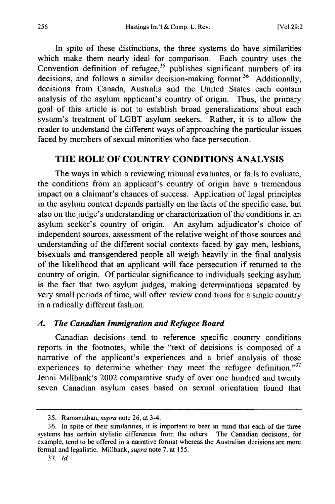In spite of these distinctions, the three systems do have similarities which make them nearly ideal for comparison. Each country uses the Convention definition of refugee,<sup>35</sup> publishes significant numbers of its decisions, and follows a similar decision-making format.<sup>36</sup> Additionally, decisions from Canada, Australia and the United States each contain analysis of the asylum applicant's country of origin. Thus, the primary goal of this article is not to establish broad generalizations about each system's treatment of LGBT asylum seekers. Rather, it is to allow the reader to understand the different ways of approaching the particular issues faced by members of sexual minorities who face persecution.

## **THE** ROLE OF COUNTRY **CONDITIONS ANALYSIS**

The ways in which a reviewing tribunal evaluates, or fails to evaluate, the conditions from an applicant's country of origin have a tremendous impact on a claimant's chances of success. Application of legal principles in the asylum context depends partially on the facts of the specific case, but also on the judge's understanding or characterization of the conditions in an asylum seeker's country of origin. An asylum adjudicator's choice of independent sources, assessment of the relative weight of those sources and understanding of the different social contexts faced by gay men, lesbians, bisexuals and transgendered people all weigh heavily in the final analysis of the likelihood that an applicant will face persecution if returned to the country of origin. Of particular significance to individuals seeking asylum is the fact that two asylum judges, making determinations separated by very small periods of time, will often review conditions for a single country in a radically different fashion.

## *A. The Canadian Immigration and Refugee Board*

Canadian decisions tend to reference specific country conditions reports in the footnotes, while the "text of decisions is composed of a narrative of the applicant's experiences and a brief analysis of those experiences to determine whether they meet the refugee definition."<sup>37</sup> Jenni Millbank's 2002 comparative study of over one hundred and twenty seven Canadian asylum cases based on sexual orientation found that

<sup>35.</sup> Ramanathan, *supra* note 26, at 3-4.

<sup>36.</sup> In spite of their similarities, it is important to bear in mind that each of the three systems has certain stylistic differences from the others. The Canadian decisions, for example, tend to be offered in a narrative format whereas the Australian decisions are more formal and legalistic. Millbank, *supra* note 7, at 155.

<sup>37.</sup> *Id.*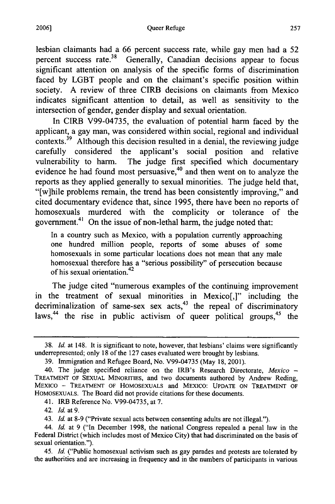lesbian claimants had a 66 percent success rate, while gay men had a 52 percent success rate.<sup>38</sup> Generally, Canadian decisions appear to focus significant attention on analysis of the specific forms of discrimination faced by LGBT people and on the claimant's specific position within society. A review of three CIRB decisions on claimants from Mexico indicates significant attention to detail, as well as sensitivity to the intersection of gender, gender display and sexual orientation.

In CIRB V99-04735, the evaluation of potential harm faced by the applicant, a gay man, was considered within social, regional and individual contexts.<sup>39</sup> Although this decision resulted in a denial, the reviewing judge carefully considered the applicant's social position and relative vulnerability to harm. The judge first specified which documentary evidence he had found most persuasive,<sup>40</sup> and then went on to analyze the reports as they applied generally to sexual minorities. The judge held that, "[w]hile problems remain, the trend has been consistently improving," and cited documentary evidence that, since 1995, there have been no reports of homosexuals murdered with the complicity or tolerance of the government.<sup>41</sup> On the issue of non-lethal harm, the judge noted that:

In a country such as Mexico, with a population currently approaching one hundred million people, reports of some abuses of some homosexuals in some particular locations does not mean that any male homosexual therefore has a "serious possibility" of persecution because of his sexual orientation.<sup>42</sup>

The judge cited "numerous examples of the continuing improvement in the treatment of sexual minorities in Mexico[,]" including the decriminalization of same-sex sex  $\arctan^{43}$  the repeal of discriminatory laws,<sup>44</sup> the rise in public activism of queer political groups,  $45$  the

41. IRB Reference No. V99-04735, at 7.

42. *Id.* at 9.

<sup>38.</sup> **Id.** at 148. It is significant to note, however, that lesbians' claims were significantly underrepresented; only 18 of the 127 cases evaluated were brought by lesbians.

<sup>39.</sup> Immigration and Refugee Board, No. V99-04735 (May 18, 2001).

<sup>40.</sup> The judge specified reliance on the IRB's Research Directorate, *Mexico* **-** TREATMENT OF SEXUAL MINORITIES, and two documents authored by Andrew Reding, MEXICO - TREATMENT OF HOMOSEXUALS and MEXICO: UPDATE ON TREATMENT OF HOMOSEXUALS. The Board did not provide citations for these documents.

<sup>43.</sup> Id. at 8-9 ("Private sexual acts between consenting adults are not illegal.").

<sup>44.</sup> *Id.* at 9 ("In December 1998, the national Congress repealed a penal law in the Federal District (which includes most of Mexico City) that had discriminated on the basis of sexual orientation.").

<sup>45.</sup> *Id.* ("Public homosexual activism such as gay parades and protests are tolerated by the authorities and are increasing in frequency and in the numbers of participants in various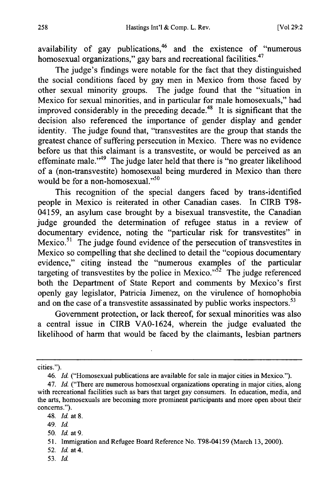availability of gay publications, $46$  and the existence of "numerous homosexual organizations," gay bars and recreational facilities.<sup>47</sup>

The judge's findings were notable for the fact that they distinguished the social conditions faced by gay men in Mexico from those faced by other sexual minority groups. The judge found that the "situation in Mexico for sexual minorities, and in particular for male homosexuals," had improved considerably in the preceding decade.<sup>48</sup> It is significant that the decision also referenced the importance of gender display and gender identity. The judge found that, "transvestites are the group that stands the greatest chance of suffering persecution in Mexico. There was no evidence before us that this claimant is a transvestite, or would be perceived as an effeminate male."<sup>49</sup> The judge later held that there is "no greater likelihood of a (non-transvestite) homosexual being murdered in Mexico than there would be for a non-homosexual. $^{550}$ 

This recognition of the special dangers faced by trans-identified people in Mexico is reiterated in other Canadian cases. In CIRB T98- 04159, an asylum case brought by a bisexual transvestite, the Canadian judge grounded the determination of refugee status in a review of documentary evidence, noting the "particular risk for transvestites" in Mexico. $51$  The judge found evidence of the persecution of transvestites in Mexico so compelling that she declined to detail the "copious documentary evidence," citing instead the "numerous examples of the particular targeting of transvestites by the police in Mexico." $\hat{5}^2$  The judge referenced both the Department of State Report and comments by Mexico's first openly gay legislator, Patricia Jimenez, on the virulence of homophobia and on the case of a transvestite assassinated by public works inspectors.<sup>53</sup>

Government protection, or lack thereof, for sexual minorities was also a central issue in CIRB VAO-1624, wherein the judge evaluated the likelihood of harm that would be faced by the claimants, lesbian partners

cities.").

49. *Id.*

- 52. *Id.* at 4.
- 53. *Id.*

<sup>46.</sup> *Id.* ("Homosexual publications are available for sale in major cities in Mexico.").

<sup>47.</sup> *Id.* ("There are numerous homosexual organizations operating in major cities, along with recreational facilities such as bars that target gay consumers. In education, media, and the arts, homosexuals are becoming more prominent participants and more open about their concerns.").

<sup>48.</sup> *Id.* at 8.

<sup>50.</sup> *Id.* at 9.

<sup>51.</sup> Immigration and Refugee Board Reference No. T98-04159 (March 13, 2000).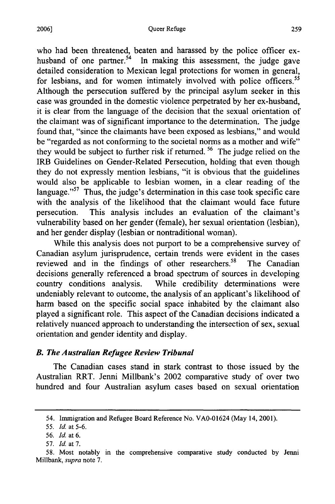who had been threatened, beaten and harassed **by** the police officer exhusband of one partner.<sup>54</sup> In making this assessment, the judge gave detailed consideration to Mexican legal protections for women in general, for lesbians, and for women intimately involved with police officers.<sup>55</sup> Although the persecution suffered by the principal asylum seeker in this case was grounded in the domestic violence perpetrated by her ex-husband, it is clear from the language of the decision that the sexual orientation of the claimant was of significant importance to the determination. The judge found that, "since the claimants have been exposed as lesbians," and would be "regarded as not conforming to the societal norms as a mother and wife" they would be subject to further risk if returned. 56 The judge relied on the IRB Guidelines on Gender-Related Persecution, holding that even though they do not expressly mention lesbians, "it is obvious that the guidelines would also be applicable to lesbian women, in a clear reading of the language."<sup>57</sup> Thus, the judge's determination in this case took specific care with the analysis of the likelihood that the claimant would face future persecution. This analysis includes an evaluation of the claimant's vulnerability based on her gender (female), her sexual orientation (lesbian), and her gender display (lesbian or nontraditional woman).

While this analysis does not purport to be a comprehensive survey of Canadian asylum jurisprudence, certain trends were evident in the cases reviewed and in the findings of other researchers.<sup>58</sup> The Canadian decisions generally referenced a broad spectrum of sources in developing country conditions analysis. While credibility determinations were undeniably relevant to outcome, the analysis of an applicant's likelihood of harm based on the specific social space inhabited by the claimant also played a significant role. This aspect of the Canadian decisions indicated a relatively nuanced approach to understanding the intersection of sex, sexual orientation and gender identity and display.

## *B. The Australian Refugee Review Tribunal*

The Canadian cases stand in stark contrast to those issued by the Australian RRT. Jenni Millbank's 2002 comparative study of over two hundred and four Australian asylum cases based on sexual orientation

<sup>54.</sup> Immigration and Refugee Board Reference No. VAO-01624 (May 14, 2001).

*<sup>55.</sup>* Id. at 5-6.

<sup>56.</sup> Id. at 6.

*<sup>57.</sup>* Id. at 7.

<sup>58.</sup> Most notably in the comprehensive comparative study conducted by Jenni Millbank, *supra* note 7.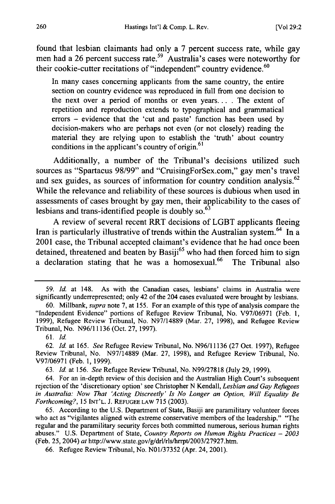found that lesbian claimants had only a 7 percent success rate, while gay men had a 26 percent success rate.<sup>59</sup> Australia's cases were noteworthy for their cookie-cutter recitations of "independent" country evidence.<sup>60</sup>

In many cases concerning applicants from the same country, the entire section on country evidence was reproduced in full from one decision to the next over a period of months or even years... . The extent of repetition and reproduction extends to typographical and grammatical errors - evidence that the 'cut and paste' function has been used by decision-makers who are perhaps not even (or not closely) reading the material they are relying upon to establish the 'truth' about country conditions in the applicant's country of origin. $<sup>61</sup>$ </sup>

Additionally, a number of the Tribunal's decisions utilized such sources as "Spartacus 98/99" and "CruisingForSex.com," gay men's travel and sex guides, as sources of information for country condition analysis.<sup>62</sup> While the relevance and reliability of these sources is dubious when used in assessments of cases brought by gay men, their applicability to the cases of lesbians and trans-identified people is doubly so.  $63$ 

A review of several recent RRT decisions of LGBT applicants fleeing Iran is particularly illustrative of trends within the Australian system.<sup>64</sup> In a 2001 case, the Tribunal accepted claimant's evidence that he had once been detained, threatened and beaten by Basiji<sup>65</sup> who had then forced him to sign a declaration stating that he was a homosexual.<sup>66</sup> The Tribunal also

61. *Id.*

62. *Id.* at 165. *See* Refugee Review Tribunal, No. N96/11136 (27 Oct. 1997), Refugee Review Tribunal, No. N97/14889 (Mar. 27, 1998), and Refugee Review Tribunal, No. V97/06971 (Feb. 1, 1999).

63. *Id.* at 156. *See* Refugee Review Tribunal, No. N99/27818 (July 29, 1999).

64. For an in-depth review of this decision and the Australian High Court's subsequent rejection of the 'discretionary option' see Christopher N Kendall, *Lesbian and Gay Refugees in Australia: Now That 'Acting Discreetly' Is No Longer an Option, Will Equality Be Forthcoming?,* 15 **INT'L.** J. **REFUGEE** LAW 715 (2003).

65. According to the U.S. Department of State, Basiji are paramilitary volunteer forces who act as "vigilantes aligned with extreme conservative members of the leadership." "The regular and the paramilitary security forces both committed numerous, serious human rights abuses." U.S. Department of State, *Country Reports on Human Rights Practices* - *2003* (Feb. 25, 2004) *at* http://www.state.gov/g/drl/rls/hrrpt/2003/27927.htm.

66. Refugee Review Tribunal, No. N01/37352 (Apr. 24, 2001).

<sup>59.</sup> *Id.* at 148. As with the Canadian cases, lesbians' claims in Australia were significantly underrepresented; only 42 of the 204 cases evaluated were brought by lesbians.

<sup>60.</sup> Millbank, *supra* note 7, at 155. For an example of this type of analysis compare the "Independent Evidence" portions of Refugee Review Tribunal, No. V97/06971 (Feb. 1, 1999), Refugee Review Tribunal, No. N97/14889 (Mar. 27, 1998), and Refugee Review Tribunal, No. N96/11136 (Oct. 27, 1997).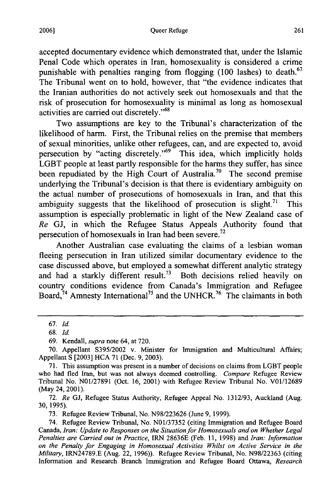accepted documentary evidence which demonstrated that, under the Islamic Penal Code which operates in Iran, homosexuality is considered a crime punishable with penalties ranging from flogging  $(100 \text{ lashes})$  to death.<sup>67</sup> The Tribunal went on to hold, however, that "the evidence indicates that the Iranian authorities do not actively seek out homosexuals and that the risk of prosecution for homosexuality is minimal as long as homosexual activities are carried out discretely."<sup>68</sup>

Two assumptions are key to the Tribunal's characterization of the likelihood of harm. First, the Tribunal relies on the premise that members of sexual minorities, unlike other refugees, can, and are expected to, avoid persecution by "acting discretely."<sup>69</sup> This idea, which implicitly holds LGBT people at least partly responsible for the harms they suffer, has since been repudiated by the High Court of Australia.<sup>70</sup> The second premise underlying the Tribunal's decision is that there is evidentiary ambiguity on the actual number of prosecutions of homosexuals in Iran, and that this ambiguity suggests that the likelihood of prosecution is slight.<sup>71</sup> This assumption is especially problematic in light of the New Zealand case of *Re* GJ, in which the Refugee Status Appeals Authority found that persecution of homosexuals in Iran had been severe.<sup>72</sup>

Another Australian case evaluating the claims of a lesbian woman fleeing persecution in Iran utilized similar documentary evidence to the case discussed above, but employed a somewhat different analytic strategy and had a starkly different result.<sup>73</sup> Both decisions relied heavily on country conditions evidence from Canada's Immigration and Refugee Board,<sup>74</sup> Amnesty International<sup>75</sup> and the UNHCR.<sup>76</sup> The claimants in both

73. Refugee Review Tribunal, No. N98/223626 (June 9, 1999).

<sup>67.</sup> *Id.*

<sup>68.</sup> *Id.*

<sup>69.</sup> Kendall, *supra* note 64, at 720.

<sup>70.</sup> Appellant S395/2002 v. Minister for Immigration and Multicultural Affairs; Appellant S [2003] HCA 71 (Dec. 9, 2003).

<sup>71.</sup> This assumption was present in a number of decisions on claims from LGBT people who had fled Iran, but was not always deemed controlling. *Compare* Refugee Review Tribunal No. N01/27891 (Oct. 16, 2001) with Refugee Review Tribunal No. V01/12689 (May 24, 2001).

<sup>72.</sup> *Re* GJ, Refugee Status Authority, Refugee Appeal No. 1312/93, Auckland (Aug. 30, 1995).

<sup>74.</sup> Refugee Review Tribunal, No. N01/37352 (citing Immigration and Refugee Board Canada, *Iran: Update to Responses on the Situation for Homosexuals and on Whether Legal Penalties are Carried out in Practice,* IRN 28636E (Feb. 11, 1998) and *Iran: Information on the Penalty for Engaging in Homosexual Activities Whilst on Active Service in the Military,* IRN24789.E (Aug. 22, 1996)). Refugee Review Tribunal, No. N98/22363 (citing Information and Research Branch Immigration and Refugee Board Ottawa, *Research*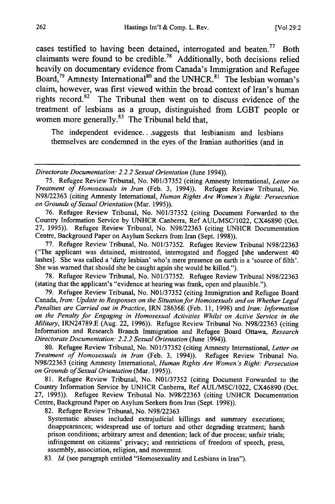cases testified to having been detained, interrogated and beaten.<sup>77</sup> Both claimants were found to be credible.<sup>78</sup> Additionally, both decisions relied heavily on documentary evidence from Canada's Immigration and Refugee Board,  $\overline{79}$  Amnesty International<sup>80</sup> and the UNHCR.<sup>81</sup> The lesbian woman's claim, however, was first viewed within the broad context of Iran's human rights record.<sup>82</sup> The Tribunal then went on to discuss evidence of the treatment of lesbians as a group, distinguished from LGBT people or women more generally. $83$  The Tribunal held that,

The independent evidence... suggests that lesbianism and lesbians themselves are condemned in the eyes of the Iranian authorities (and in

75. Refugee Review Tribunal, No. N01/37352 (citing Amnesty International, *Letter on Treatment* of Homosexuals in *Iran* (Feb. 3, 1994)). Refugee Review Tribunal, No. N98/22363 (citing Amnesty International, Human Rights Are Women's Right: Persecution on Grounds of Sexual Orientation (Mar. 1995)).

76. Refugee Review Tribunal, No. N01/37352 (citing Document Forwarded to the Country Information Service by UNHCR Canberra, Ref AUL/MSC/1022, CX46890 (Oct. 27, 1995)). Refugee Review Tribunal, No. N98/22363 (citing UNHCR Documentation Centre, Background Paper on Asylum Seekers from Iran (Sept. 1998)).

77. Refugee Review Tribunal, No. N01/37352. Refugee Review Tribunal N98/22363 ("The applicant was detained, mistreated, interrogated and flogged [she underwent 40 lashes]. She was called a 'dirty lesbian' who's mere presence on earth is a 'source of filth'. She was warned that should she be caught again she would be killed.").

78. Refugee Review Tribunal, No. N01/37352. Refugee Review Tribunal N98/22363 (stating that the applicant's "evidence at hearing was frank, open and plausible.").

79. Refugee Review Tribunal, No. N01/37352 (citing Immigration and Refugee Board Canada, Iran: Update to Responses on the Situation for Homosexuals and on Whether Legal Penalties are Carried out in Practice, IRN 28636E (Feb. 11, 1998) and Iran: Information on the Penalty for Engaging in Homosexual Activities Whilst on Active Service in the Military, IRN24789.E (Aug. 22, 1996)). Refugee Review Tribunal No. N98/22363 (citing Information and Research Branch Immigration and Refugee Board Ottawa, Research Directorate Documentation: 2.2.2 Sexual Orientation (June 1994)).

80. Refugee Review Tribunal, No. N01/37352 (citing Amnesty International, Letter on *Treatment of Homosexuals in Iran* (Feb. 3, 1994)). Refugee Review Tribunal No. N98/22363 (citing Amnesty International, *Human Rights Are Women's Right:* Persecution on Grounds of Sexual Orientation (Mar. 1995)).

81. Refugee Review Tribunal, No. N01/37352 (citing Document Forwarded to the Country Information Service by UNHCR Canberra, Ref AUL/MSC/1022, CX46890 (Oct. 27, 1995)). Refugee Review Tribunal No. N98/22363 (citing UNHCR Documentation Centre, Background Paper on Asylum Seekers from Iran (Sept. 1998)).

82. Refugee Review Tribunal, No. N98/22363

Systematic abuses included extrajudicial killings and summary executions; disappearances; widespread use of torture and other degrading treatment; harsh prison conditions; arbitrary arrest and detention; lack of due process; unfair trials; infringement on citizens' privacy; and restrictions of freedom of speech, press, assembly, association, religion, and movement.

83. *Id.* (see paragraph entitled "Homosexuality and Lesbians in Iran").

Directorate Documentation: 2.2.2 Sexual Orientation (June 1994)).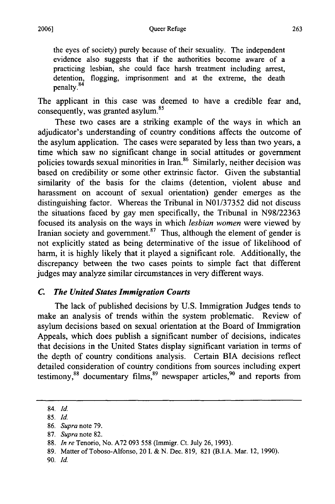the eyes of society) purely because of their sexuality. The independent evidence also suggests that if the authorities become aware of a practicing lesbian, she could face harsh treatment including arrest, detention, flogging, imprisonment and at the extreme, the death penalty.<sup>84</sup>

The applicant in this case was deemed to have a credible fear and, consequently, was granted asylum. <sup>85</sup>

These two cases are a striking example of the ways in which an adjudicator's understanding of country conditions affects the outcome of the asylum application. The cases were separated **by** less than two years, a time which saw no significant change in social attitudes or government policies towards sexual minorities in Iran.<sup>86</sup> Similarly, neither decision was based on credibility or some other extrinsic factor. Given the substantial similarity of the basis for the claims (detention, violent abuse and harassment on account of sexual orientation) gender emerges as the distinguishing factor. Whereas the Tribunal in **N01/37352** did not discuss the situations faced **by** gay men specifically, the Tribunal in **N98/22363** focused its analysis on the ways in which *lesbian women* were viewed **by** Iranian society and government.<sup>87</sup> Thus, although the element of gender is not explicitly stated as being determinative of the issue of likelihood of harm, it is **highly** likely that it played a significant role. Additionally, the discrepancy between the two cases points to simple fact that different judges may analyze similar circumstances in very different ways.

## *C. The United States Immigration Courts*

The lack of published decisions **by U.S.** Immigration Judges tends to make an analysis of trends within the system problematic. Review of asylum decisions based on sexual orientation at the Board of Immigration Appeals, which does publish a significant number of decisions, indicates that decisions in the United States display significant variation in terms of the depth of country conditions analysis. Certain BIA decisions reflect detailed consideration of country conditions from sources including expert testimony, $88$  documentary films, $89$  newspaper articles, $90$  and reports from

- **89.** Matter of Toboso-Alfonso, 20 **I. & N.** Dec. **819, 821** (B.I.A. Mar. 12, **1990).**
- **90.** *Id.*

<sup>84.</sup> *Id.*

**<sup>85.</sup>** *Id.*

**<sup>86.</sup>** *Supra* note **79.**

**<sup>87.</sup>** *Supra* note **82.**

**<sup>88.</sup>** *In re* Tenorio, No. **A72 093 558** (Immigr. Ct. July **26, 1993).**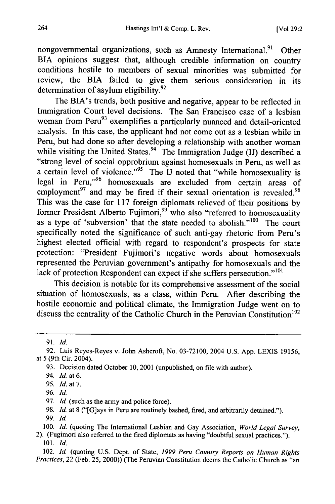nongovernmental organizations, such as Amnesty International.<sup>91</sup> Other BIA opinions suggest that, although credible information on country conditions hostile to members of sexual minorities was submitted for review, the BIA failed to give them serious consideration in its determination of asylum eligibility. $92$ 

The BIA's trends, both positive and negative, appear to be reflected in Immigration Court level decisions. The San Francisco case of a lesbian woman from Peru<sup>93</sup> exemplifies a particularly nuanced and detail-oriented analysis. In this case, the applicant had not come out as a lesbian while in Peru, but had done so after developing a relationship with another woman while visiting the United States.<sup>94</sup> The Immigration Judge (IJ) described a "strong level of social opprobrium against homosexuals in Peru, as well as a certain level of violence."<sup>95</sup> The **IJ** noted that "while homosexuality is legal in Peru,"<sup>96</sup> homosexuals are excluded from certain areas of employment $^{97}$  and may be fired if their sexual orientation is revealed. $^{98}$ This was the case for **117** foreign diplomats relieved of their positions **by** former President Alberto Fujimori,<sup>99</sup> who also "referred to homosexuality as a type of 'subversion' that the state needed to abolish."<sup>100</sup> The court specifically noted the significance of such anti-gay rhetoric from Peru's highest elected official with regard to respondent's prospects for state protection: "President Fujimori's negative words about homosexuals represented the Peruvian government's antipathy for homosexuals and the lack of protection Respondent can expect if she suffers persecution."<sup>101</sup>

This decision is notable for its comprehensive assessment of the social situation of homosexuals, as a class, within Peru. After describing the hostile economic and political climate, the Immigration Judge went on to discuss the centrality of the Catholic Church in the Peruvian Constitution<sup>102</sup>

**95.** *Id.* at **7.**

**<sup>91.</sup> Id.**

**<sup>92.</sup>** Luis Reyes-Reyes v. John Ashcroft, No. **03-72100,** 2004 **U.S. App. LEXIS 19156,** at 5 (9th Cir. 2004).

**<sup>93.</sup>** Decision dated October **10,** 2001 (unpublished, on file with author).

<sup>94.</sup> *Id.* at **6.**

**<sup>96.</sup> Id.**

**<sup>97.</sup> Id.** (such as the **army** and police force).

**<sup>98.</sup> Id.** at **8** ("[G]ays in Peru are routinely bashed, fired, and arbitrarily detained.").

**<sup>99.</sup> Id.**

**<sup>100.</sup>** *Id.* (quoting The International Lesbian and Gay Association, *World Legal Survey,*

<sup>2). (</sup>Fugimori also referred to the fired diplomats as having "doubtful sexual practices."). **101.** *Id.*

<sup>102.</sup> **Id.** (quoting **U.S.** Dept. of State, *1999 Peru Country Reports on Human Rights Practices,* 22 (Feb. **25,** 2000)) (The Peruvian Constitution deems the Catholic Church as "an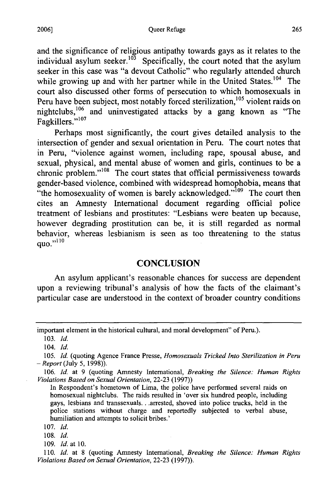and the significance of religious antipathy towards gays as it relates to the individual asylum seeker.<sup>103</sup> Specifically, the court noted that the asylum seeker in this case was "a devout Catholic" who regularly attended church while growing up and with her partner while in the United States.<sup>104</sup> The court also discussed other forms of persecution to which homosexuals in Peru have been subject, most notably forced sterilization,<sup>105</sup> violent raids on nightclubs,<sup>106</sup> and uninvestigated attacks by a gang known as "The mgmvmets, 107

Perhaps most significantly, the court gives detailed analysis to the intersection of gender and sexual orientation in Peru. The court notes that in Peru, "violence against women, including rape, spousal abuse, and sexual, physical, and mental abuse of women and girls, continues to be a chronic problem."<sup>108</sup> The court states that official permissiveness towards gender-based violence, combined with widespread homophobia, means that "the homosexuality of women is barely acknowledged."<sup>109</sup> The court then cites an Amnesty International document regarding official police treatment of lesbians and prostitutes: "Lesbians were beaten up because, however degrading prostitution can be, it is still regarded as normal behavior, whereas lesbianism is seen as too threatening to the status  $quo.$ " $^{110}$ 

## **CONCLUSION**

An asylum applicant's reasonable chances for success are dependent upon a reviewing tribunal's analysis of how the facts of the claimant's particular case are understood in the context of broader country conditions

important element in the historical cultural, and moral development" of Peru.).

<sup>103.</sup> *Id.*

<sup>104.</sup> *Id.*

<sup>105.</sup> Id. (quoting Agence France Presse, *Homosexuals Tricked Into Sterilization in Peru* **-** *Report* (July 5, 1998)).

<sup>106.</sup> Id. at 9 (quoting Amnesty International, *Breaking the Silence: Human Rights Violations Based on Sexual Orientation,* 22-23 (1997))

In Respondent's hometown of Lima, the police have performed several raids on homosexual nightclubs. The raids resulted in 'over six hundred people, including gays, lesbians and transsexuals... arrested, shoved into police trucks, held in the police stations without charge and reportedly subjected to verbal abuse, humiliation and attempts to solicit bribes.'

<sup>107.</sup> *Id.*

<sup>108.</sup> *Id.*

<sup>109.</sup> *Id.* at 10.

<sup>110.</sup> *Id.* at 8 (quoting Amnesty International, *Breaking the Silence: Human Rights Violations Based on Sexual Orientation,* 22-23 (1997)).